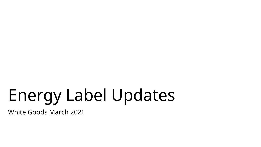# Energy Label Updates

White Goods March 2021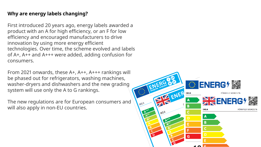## **Why are energy labels changing?**

First introduced 20 years ago, energy labels awarded a product with an A for high efficiency, or an F for low efficiency and encouraged manufacturers to drive innovation by using more energy efficient technologies. Over time, the scheme evolved and labels of A+, A++ and A+++ were added, adding confusion for consumers.

From 2021 onwards, these A+, A++, A+++ rankings will be phased out for refrigerators, washing machines, washer-dryers and dishwashers and the new grading system will use only the A to G rankings.

The new regulations are for European consumers and will also apply in non-EU countries.

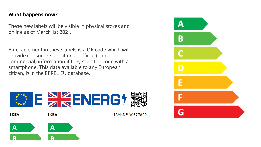### **What happens now?**

These new labels will be visible in physical stores and online as of March 1st 2021.

A new element in these labels is a QR code which will provide consumers additional, official (noncommercial) information if they scan the code with a smartphone. This data available to any European citizen, is in the EPREL EU database.



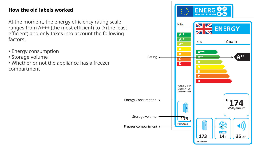## **How the old labels worked**

At the moment, the energy efficiency rating scale ranges from A+++ (the most efficient) to D (the least efficient) and only takes into account the following factors:

- Energy consumption
- Storage volume
- Whether or not the appliance has a freezer compartment

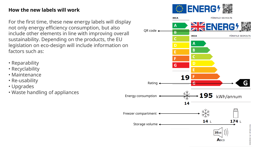## **How the new labels will work**

For the first time, these new energy labels will display not only energy efficiency consumption, but also include other elements in line with improving overall sustainability. Depending on the products, the EU legislation on eco-design will include information on factors such as:

- Reparability
- Recyclability
- Maintenance
- Re-usability
- Upgrades
- Waste handling of appliances

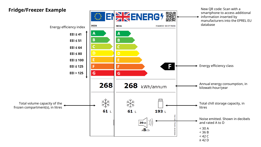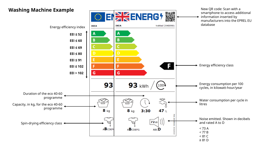